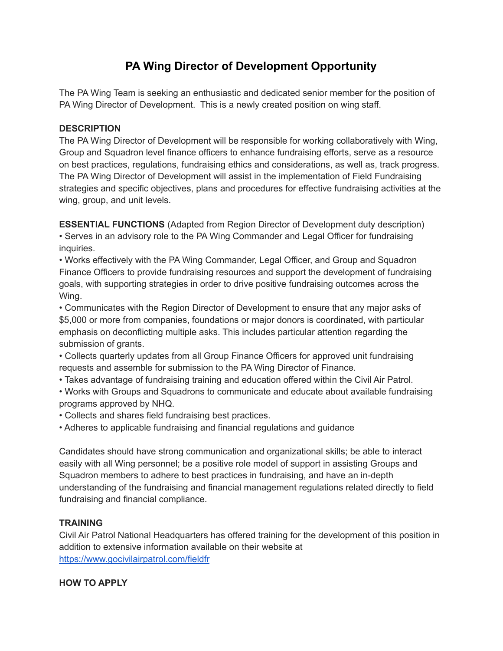## **PA Wing Director of Development Opportunity**

The PA Wing Team is seeking an enthusiastic and dedicated senior member for the position of PA Wing Director of Development. This is a newly created position on wing staff.

## **DESCRIPTION**

The PA Wing Director of Development will be responsible for working collaboratively with Wing, Group and Squadron level finance officers to enhance fundraising efforts, serve as a resource on best practices, regulations, fundraising ethics and considerations, as well as, track progress. The PA Wing Director of Development will assist in the implementation of Field Fundraising strategies and specific objectives, plans and procedures for effective fundraising activities at the wing, group, and unit levels.

**ESSENTIAL FUNCTIONS** (Adapted from Region Director of Development duty description) • Serves in an advisory role to the PA Wing Commander and Legal Officer for fundraising inquiries.

• Works effectively with the PA Wing Commander, Legal Officer, and Group and Squadron Finance Officers to provide fundraising resources and support the development of fundraising goals, with supporting strategies in order to drive positive fundraising outcomes across the Wing.

• Communicates with the Region Director of Development to ensure that any major asks of \$5,000 or more from companies, foundations or major donors is coordinated, with particular emphasis on deconflicting multiple asks. This includes particular attention regarding the submission of grants.

• Collects quarterly updates from all Group Finance Officers for approved unit fundraising requests and assemble for submission to the PA Wing Director of Finance.

- Takes advantage of fundraising training and education offered within the Civil Air Patrol.
- Works with Groups and Squadrons to communicate and educate about available fundraising programs approved by NHQ.
- Collects and shares field fundraising best practices.
- Adheres to applicable fundraising and financial regulations and guidance

Candidates should have strong communication and organizational skills; be able to interact easily with all Wing personnel; be a positive role model of support in assisting Groups and Squadron members to adhere to best practices in fundraising, and have an in-depth understanding of the fundraising and financial management regulations related directly to field fundraising and financial compliance.

## **TRAINING**

Civil Air Patrol National Headquarters has offered training for the development of this position in addition to extensive information available on their website at <https://www.gocivilairpatrol.com/fieldfr>

## **HOW TO APPLY**